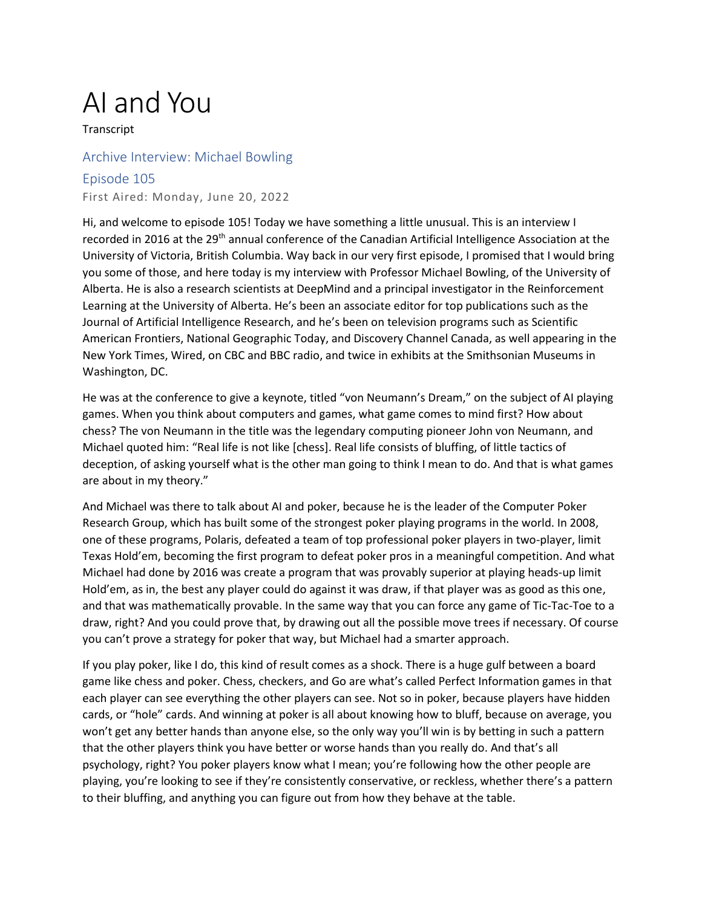## AI and You

**Transcript** 

## Archive Interview: Michael Bowling

## Episode 105

First Aired: Monday, June 20, 2022

Hi, and welcome to episode 105! Today we have something a little unusual. This is an interview I recorded in 2016 at the 29<sup>th</sup> annual conference of the Canadian Artificial Intelligence Association at the University of Victoria, British Columbia. Way back in our very first episode, I promised that I would bring you some of those, and here today is my interview with Professor Michael Bowling, of the University of Alberta. He is also a research scientists at DeepMind and a principal investigator in the Reinforcement Learning at the University of Alberta. He's been an associate editor for top publications such as the Journal of Artificial Intelligence Research, and he's been on television programs such as Scientific American Frontiers, National Geographic Today, and Discovery Channel Canada, as well appearing in the New York Times, Wired, on CBC and BBC radio, and twice in exhibits at the Smithsonian Museums in Washington, DC.

He was at the conference to give a keynote, titled "von Neumann's Dream," on the subject of AI playing games. When you think about computers and games, what game comes to mind first? How about chess? The von Neumann in the title was the legendary computing pioneer John von Neumann, and Michael quoted him: "Real life is not like [chess]. Real life consists of bluffing, of little tactics of deception, of asking yourself what is the other man going to think I mean to do. And that is what games are about in my theory."

And Michael was there to talk about AI and poker, because he is the leader of the Computer Poker Research Group, which has built some of the strongest poker playing programs in the world. In 2008, one of these programs, Polaris, defeated a team of top professional poker players in two-player, limit Texas Hold'em, becoming the first program to defeat poker pros in a meaningful competition. And what Michael had done by 2016 was create a program that was provably superior at playing heads-up limit Hold'em, as in, the best any player could do against it was draw, if that player was as good as this one, and that was mathematically provable. In the same way that you can force any game of Tic-Tac-Toe to a draw, right? And you could prove that, by drawing out all the possible move trees if necessary. Of course you can't prove a strategy for poker that way, but Michael had a smarter approach.

If you play poker, like I do, this kind of result comes as a shock. There is a huge gulf between a board game like chess and poker. Chess, checkers, and Go are what's called Perfect Information games in that each player can see everything the other players can see. Not so in poker, because players have hidden cards, or "hole" cards. And winning at poker is all about knowing how to bluff, because on average, you won't get any better hands than anyone else, so the only way you'll win is by betting in such a pattern that the other players think you have better or worse hands than you really do. And that's all psychology, right? You poker players know what I mean; you're following how the other people are playing, you're looking to see if they're consistently conservative, or reckless, whether there's a pattern to their bluffing, and anything you can figure out from how they behave at the table.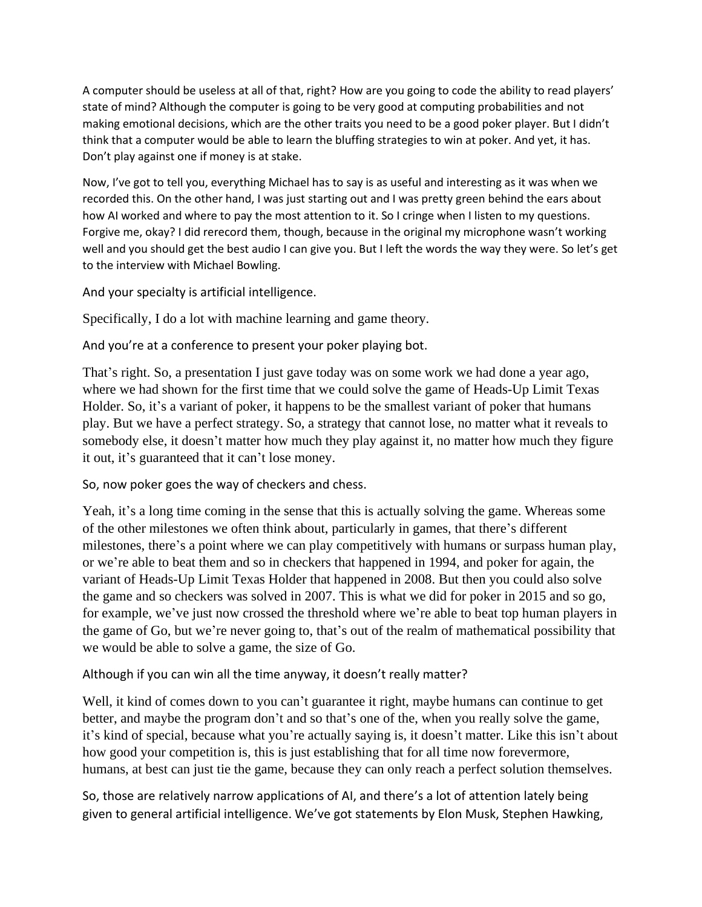A computer should be useless at all of that, right? How are you going to code the ability to read players' state of mind? Although the computer is going to be very good at computing probabilities and not making emotional decisions, which are the other traits you need to be a good poker player. But I didn't think that a computer would be able to learn the bluffing strategies to win at poker. And yet, it has. Don't play against one if money is at stake.

Now, I've got to tell you, everything Michael has to say is as useful and interesting as it was when we recorded this. On the other hand, I was just starting out and I was pretty green behind the ears about how AI worked and where to pay the most attention to it. So I cringe when I listen to my questions. Forgive me, okay? I did rerecord them, though, because in the original my microphone wasn't working well and you should get the best audio I can give you. But I left the words the way they were. So let's get to the interview with Michael Bowling.

And your specialty is artificial intelligence.

Specifically, I do a lot with machine learning and game theory.

And you're at a conference to present your poker playing bot.

That's right. So, a presentation I just gave today was on some work we had done a year ago, where we had shown for the first time that we could solve the game of Heads-Up Limit Texas Holder. So, it's a variant of poker, it happens to be the smallest variant of poker that humans play. But we have a perfect strategy. So, a strategy that cannot lose, no matter what it reveals to somebody else, it doesn't matter how much they play against it, no matter how much they figure it out, it's guaranteed that it can't lose money.

So, now poker goes the way of checkers and chess.

Yeah, it's a long time coming in the sense that this is actually solving the game. Whereas some of the other milestones we often think about, particularly in games, that there's different milestones, there's a point where we can play competitively with humans or surpass human play, or we're able to beat them and so in checkers that happened in 1994, and poker for again, the variant of Heads-Up Limit Texas Holder that happened in 2008. But then you could also solve the game and so checkers was solved in 2007. This is what we did for poker in 2015 and so go, for example, we've just now crossed the threshold where we're able to beat top human players in the game of Go, but we're never going to, that's out of the realm of mathematical possibility that we would be able to solve a game, the size of Go.

Although if you can win all the time anyway, it doesn't really matter?

Well, it kind of comes down to you can't guarantee it right, maybe humans can continue to get better, and maybe the program don't and so that's one of the, when you really solve the game, it's kind of special, because what you're actually saying is, it doesn't matter. Like this isn't about how good your competition is, this is just establishing that for all time now forevermore, humans, at best can just tie the game, because they can only reach a perfect solution themselves.

So, those are relatively narrow applications of AI, and there's a lot of attention lately being given to general artificial intelligence. We've got statements by Elon Musk, Stephen Hawking,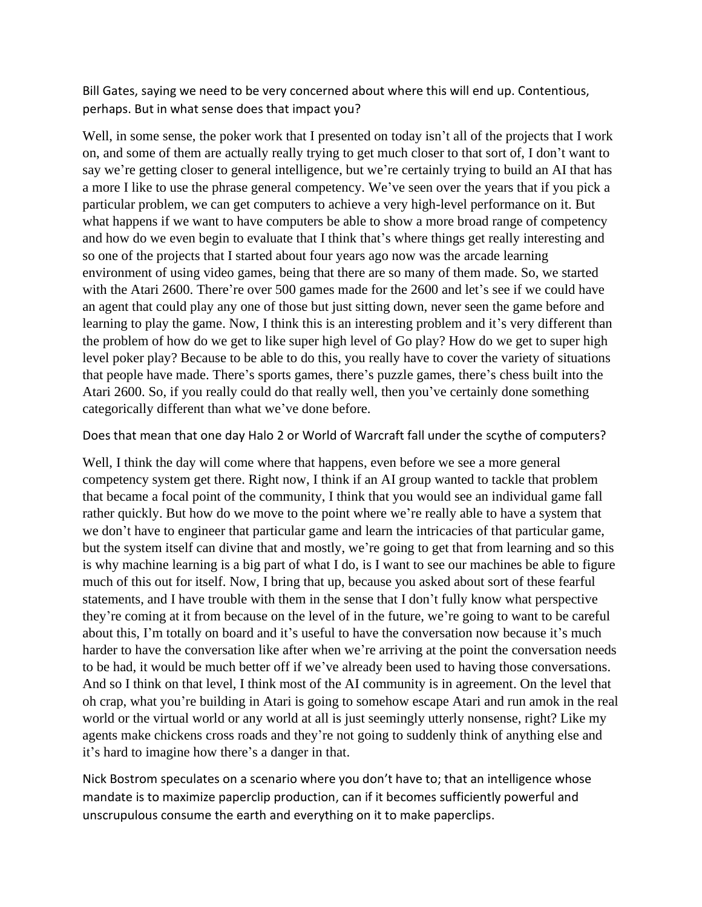Bill Gates, saying we need to be very concerned about where this will end up. Contentious, perhaps. But in what sense does that impact you?

Well, in some sense, the poker work that I presented on today isn't all of the projects that I work on, and some of them are actually really trying to get much closer to that sort of, I don't want to say we're getting closer to general intelligence, but we're certainly trying to build an AI that has a more I like to use the phrase general competency. We've seen over the years that if you pick a particular problem, we can get computers to achieve a very high-level performance on it. But what happens if we want to have computers be able to show a more broad range of competency and how do we even begin to evaluate that I think that's where things get really interesting and so one of the projects that I started about four years ago now was the arcade learning environment of using video games, being that there are so many of them made. So, we started with the Atari 2600. There're over 500 games made for the 2600 and let's see if we could have an agent that could play any one of those but just sitting down, never seen the game before and learning to play the game. Now, I think this is an interesting problem and it's very different than the problem of how do we get to like super high level of Go play? How do we get to super high level poker play? Because to be able to do this, you really have to cover the variety of situations that people have made. There's sports games, there's puzzle games, there's chess built into the Atari 2600. So, if you really could do that really well, then you've certainly done something categorically different than what we've done before.

Does that mean that one day Halo 2 or World of Warcraft fall under the scythe of computers?

Well, I think the day will come where that happens, even before we see a more general competency system get there. Right now, I think if an AI group wanted to tackle that problem that became a focal point of the community, I think that you would see an individual game fall rather quickly. But how do we move to the point where we're really able to have a system that we don't have to engineer that particular game and learn the intricacies of that particular game, but the system itself can divine that and mostly, we're going to get that from learning and so this is why machine learning is a big part of what I do, is I want to see our machines be able to figure much of this out for itself. Now, I bring that up, because you asked about sort of these fearful statements, and I have trouble with them in the sense that I don't fully know what perspective they're coming at it from because on the level of in the future, we're going to want to be careful about this, I'm totally on board and it's useful to have the conversation now because it's much harder to have the conversation like after when we're arriving at the point the conversation needs to be had, it would be much better off if we've already been used to having those conversations. And so I think on that level, I think most of the AI community is in agreement. On the level that oh crap, what you're building in Atari is going to somehow escape Atari and run amok in the real world or the virtual world or any world at all is just seemingly utterly nonsense, right? Like my agents make chickens cross roads and they're not going to suddenly think of anything else and it's hard to imagine how there's a danger in that.

Nick Bostrom speculates on a scenario where you don't have to; that an intelligence whose mandate is to maximize paperclip production, can if it becomes sufficiently powerful and unscrupulous consume the earth and everything on it to make paperclips.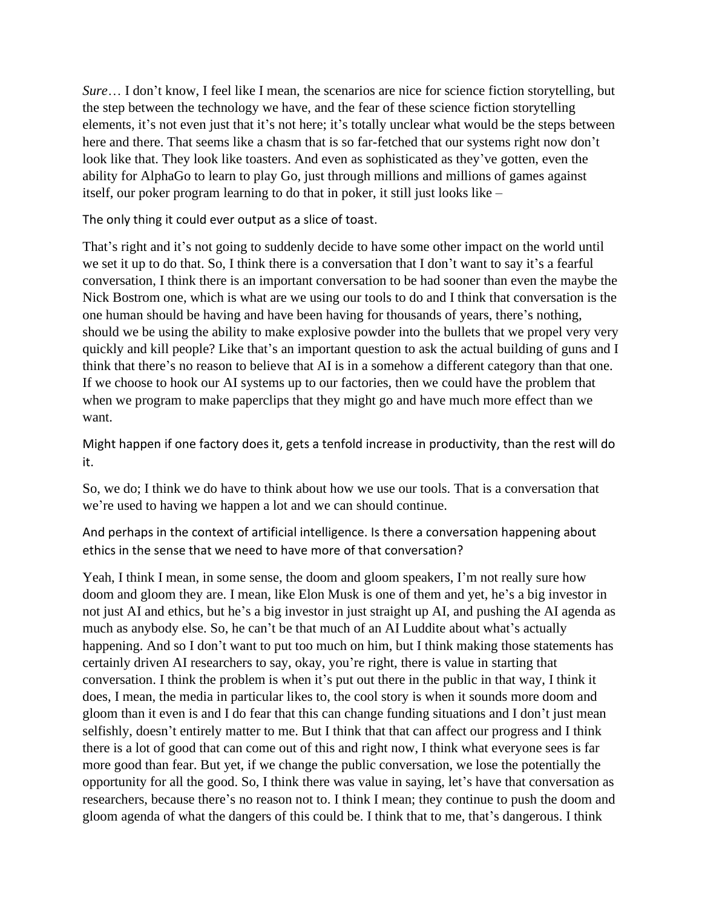*Sure*… I don't know, I feel like I mean, the scenarios are nice for science fiction storytelling, but the step between the technology we have, and the fear of these science fiction storytelling elements, it's not even just that it's not here; it's totally unclear what would be the steps between here and there. That seems like a chasm that is so far-fetched that our systems right now don't look like that. They look like toasters. And even as sophisticated as they've gotten, even the ability for AlphaGo to learn to play Go, just through millions and millions of games against itself, our poker program learning to do that in poker, it still just looks like –

The only thing it could ever output as a slice of toast.

That's right and it's not going to suddenly decide to have some other impact on the world until we set it up to do that. So, I think there is a conversation that I don't want to say it's a fearful conversation, I think there is an important conversation to be had sooner than even the maybe the Nick Bostrom one, which is what are we using our tools to do and I think that conversation is the one human should be having and have been having for thousands of years, there's nothing, should we be using the ability to make explosive powder into the bullets that we propel very very quickly and kill people? Like that's an important question to ask the actual building of guns and I think that there's no reason to believe that AI is in a somehow a different category than that one. If we choose to hook our AI systems up to our factories, then we could have the problem that when we program to make paperclips that they might go and have much more effect than we want.

Might happen if one factory does it, gets a tenfold increase in productivity, than the rest will do it.

So, we do; I think we do have to think about how we use our tools. That is a conversation that we're used to having we happen a lot and we can should continue.

And perhaps in the context of artificial intelligence. Is there a conversation happening about ethics in the sense that we need to have more of that conversation?

Yeah, I think I mean, in some sense, the doom and gloom speakers, I'm not really sure how doom and gloom they are. I mean, like Elon Musk is one of them and yet, he's a big investor in not just AI and ethics, but he's a big investor in just straight up AI, and pushing the AI agenda as much as anybody else. So, he can't be that much of an AI Luddite about what's actually happening. And so I don't want to put too much on him, but I think making those statements has certainly driven AI researchers to say, okay, you're right, there is value in starting that conversation. I think the problem is when it's put out there in the public in that way, I think it does, I mean, the media in particular likes to, the cool story is when it sounds more doom and gloom than it even is and I do fear that this can change funding situations and I don't just mean selfishly, doesn't entirely matter to me. But I think that that can affect our progress and I think there is a lot of good that can come out of this and right now, I think what everyone sees is far more good than fear. But yet, if we change the public conversation, we lose the potentially the opportunity for all the good. So, I think there was value in saying, let's have that conversation as researchers, because there's no reason not to. I think I mean; they continue to push the doom and gloom agenda of what the dangers of this could be. I think that to me, that's dangerous. I think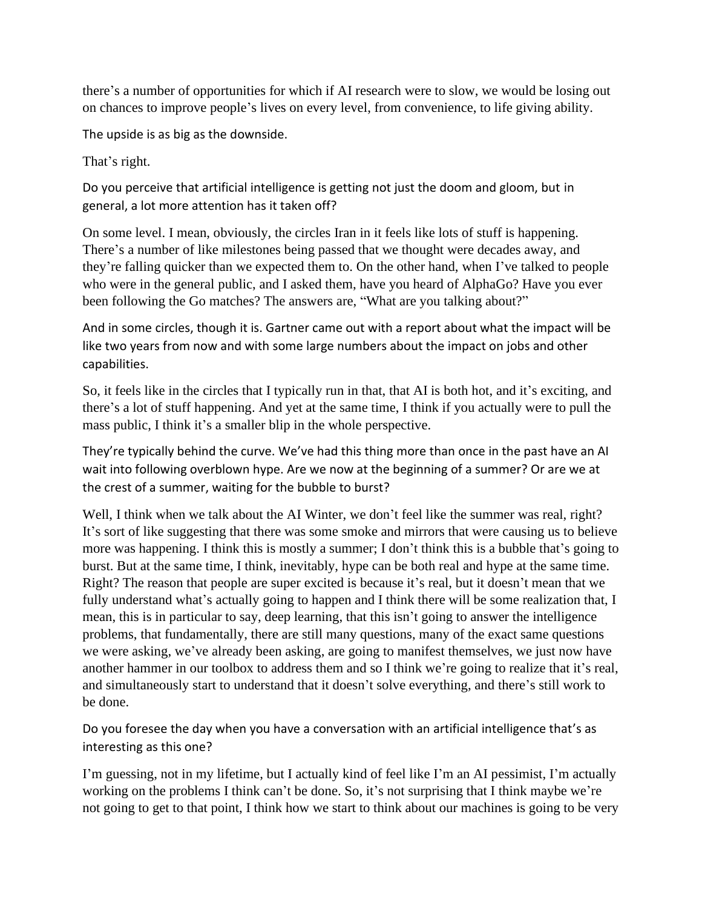there's a number of opportunities for which if AI research were to slow, we would be losing out on chances to improve people's lives on every level, from convenience, to life giving ability.

The upside is as big as the downside.

That's right.

Do you perceive that artificial intelligence is getting not just the doom and gloom, but in general, a lot more attention has it taken off?

On some level. I mean, obviously, the circles Iran in it feels like lots of stuff is happening. There's a number of like milestones being passed that we thought were decades away, and they're falling quicker than we expected them to. On the other hand, when I've talked to people who were in the general public, and I asked them, have you heard of AlphaGo? Have you ever been following the Go matches? The answers are, "What are you talking about?"

And in some circles, though it is. Gartner came out with a report about what the impact will be like two years from now and with some large numbers about the impact on jobs and other capabilities.

So, it feels like in the circles that I typically run in that, that AI is both hot, and it's exciting, and there's a lot of stuff happening. And yet at the same time, I think if you actually were to pull the mass public, I think it's a smaller blip in the whole perspective.

They're typically behind the curve. We've had this thing more than once in the past have an AI wait into following overblown hype. Are we now at the beginning of a summer? Or are we at the crest of a summer, waiting for the bubble to burst?

Well, I think when we talk about the AI Winter, we don't feel like the summer was real, right? It's sort of like suggesting that there was some smoke and mirrors that were causing us to believe more was happening. I think this is mostly a summer; I don't think this is a bubble that's going to burst. But at the same time, I think, inevitably, hype can be both real and hype at the same time. Right? The reason that people are super excited is because it's real, but it doesn't mean that we fully understand what's actually going to happen and I think there will be some realization that, I mean, this is in particular to say, deep learning, that this isn't going to answer the intelligence problems, that fundamentally, there are still many questions, many of the exact same questions we were asking, we've already been asking, are going to manifest themselves, we just now have another hammer in our toolbox to address them and so I think we're going to realize that it's real, and simultaneously start to understand that it doesn't solve everything, and there's still work to be done.

Do you foresee the day when you have a conversation with an artificial intelligence that's as interesting as this one?

I'm guessing, not in my lifetime, but I actually kind of feel like I'm an AI pessimist, I'm actually working on the problems I think can't be done. So, it's not surprising that I think maybe we're not going to get to that point, I think how we start to think about our machines is going to be very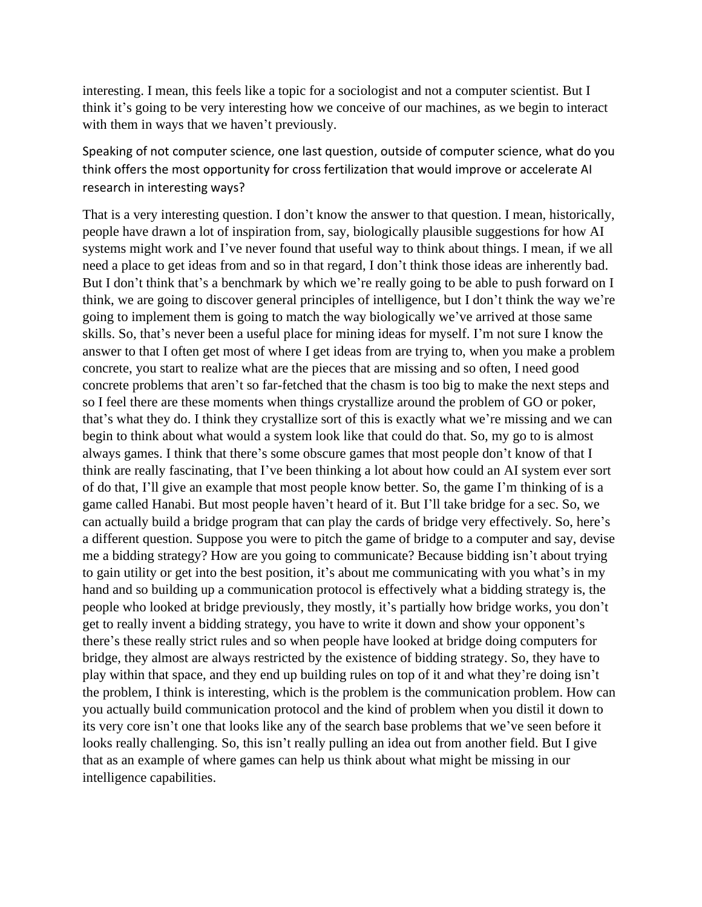interesting. I mean, this feels like a topic for a sociologist and not a computer scientist. But I think it's going to be very interesting how we conceive of our machines, as we begin to interact with them in ways that we haven't previously.

Speaking of not computer science, one last question, outside of computer science, what do you think offers the most opportunity for cross fertilization that would improve or accelerate AI research in interesting ways?

That is a very interesting question. I don't know the answer to that question. I mean, historically, people have drawn a lot of inspiration from, say, biologically plausible suggestions for how AI systems might work and I've never found that useful way to think about things. I mean, if we all need a place to get ideas from and so in that regard, I don't think those ideas are inherently bad. But I don't think that's a benchmark by which we're really going to be able to push forward on I think, we are going to discover general principles of intelligence, but I don't think the way we're going to implement them is going to match the way biologically we've arrived at those same skills. So, that's never been a useful place for mining ideas for myself. I'm not sure I know the answer to that I often get most of where I get ideas from are trying to, when you make a problem concrete, you start to realize what are the pieces that are missing and so often, I need good concrete problems that aren't so far-fetched that the chasm is too big to make the next steps and so I feel there are these moments when things crystallize around the problem of GO or poker, that's what they do. I think they crystallize sort of this is exactly what we're missing and we can begin to think about what would a system look like that could do that. So, my go to is almost always games. I think that there's some obscure games that most people don't know of that I think are really fascinating, that I've been thinking a lot about how could an AI system ever sort of do that, I'll give an example that most people know better. So, the game I'm thinking of is a game called Hanabi. But most people haven't heard of it. But I'll take bridge for a sec. So, we can actually build a bridge program that can play the cards of bridge very effectively. So, here's a different question. Suppose you were to pitch the game of bridge to a computer and say, devise me a bidding strategy? How are you going to communicate? Because bidding isn't about trying to gain utility or get into the best position, it's about me communicating with you what's in my hand and so building up a communication protocol is effectively what a bidding strategy is, the people who looked at bridge previously, they mostly, it's partially how bridge works, you don't get to really invent a bidding strategy, you have to write it down and show your opponent's there's these really strict rules and so when people have looked at bridge doing computers for bridge, they almost are always restricted by the existence of bidding strategy. So, they have to play within that space, and they end up building rules on top of it and what they're doing isn't the problem, I think is interesting, which is the problem is the communication problem. How can you actually build communication protocol and the kind of problem when you distil it down to its very core isn't one that looks like any of the search base problems that we've seen before it looks really challenging. So, this isn't really pulling an idea out from another field. But I give that as an example of where games can help us think about what might be missing in our intelligence capabilities.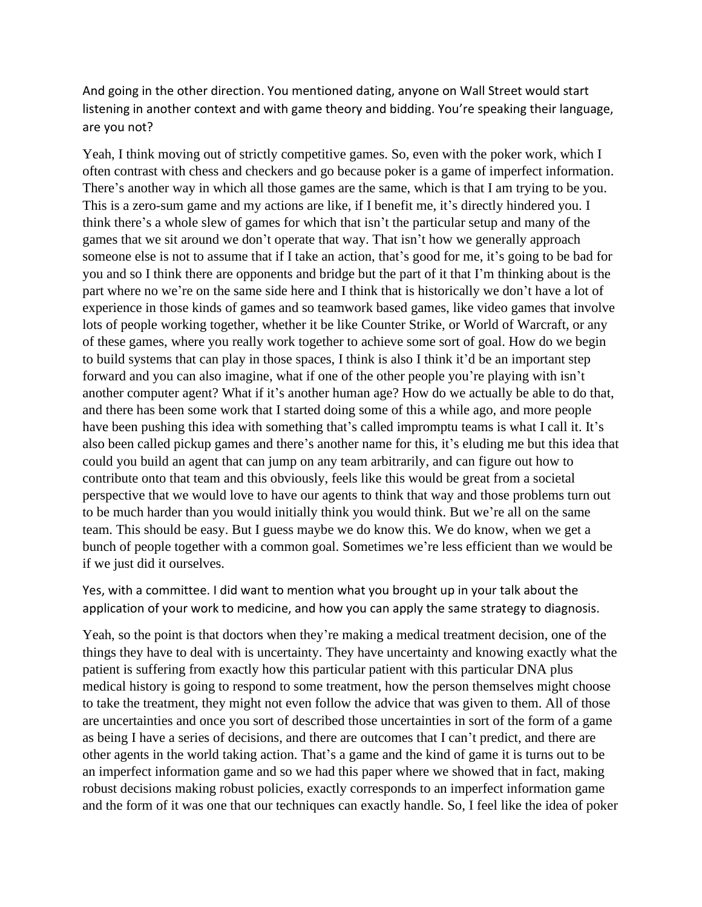And going in the other direction. You mentioned dating, anyone on Wall Street would start listening in another context and with game theory and bidding. You're speaking their language, are you not?

Yeah, I think moving out of strictly competitive games. So, even with the poker work, which I often contrast with chess and checkers and go because poker is a game of imperfect information. There's another way in which all those games are the same, which is that I am trying to be you. This is a zero-sum game and my actions are like, if I benefit me, it's directly hindered you. I think there's a whole slew of games for which that isn't the particular setup and many of the games that we sit around we don't operate that way. That isn't how we generally approach someone else is not to assume that if I take an action, that's good for me, it's going to be bad for you and so I think there are opponents and bridge but the part of it that I'm thinking about is the part where no we're on the same side here and I think that is historically we don't have a lot of experience in those kinds of games and so teamwork based games, like video games that involve lots of people working together, whether it be like Counter Strike, or World of Warcraft, or any of these games, where you really work together to achieve some sort of goal. How do we begin to build systems that can play in those spaces, I think is also I think it'd be an important step forward and you can also imagine, what if one of the other people you're playing with isn't another computer agent? What if it's another human age? How do we actually be able to do that, and there has been some work that I started doing some of this a while ago, and more people have been pushing this idea with something that's called impromptu teams is what I call it. It's also been called pickup games and there's another name for this, it's eluding me but this idea that could you build an agent that can jump on any team arbitrarily, and can figure out how to contribute onto that team and this obviously, feels like this would be great from a societal perspective that we would love to have our agents to think that way and those problems turn out to be much harder than you would initially think you would think. But we're all on the same team. This should be easy. But I guess maybe we do know this. We do know, when we get a bunch of people together with a common goal. Sometimes we're less efficient than we would be if we just did it ourselves.

Yes, with a committee. I did want to mention what you brought up in your talk about the application of your work to medicine, and how you can apply the same strategy to diagnosis.

Yeah, so the point is that doctors when they're making a medical treatment decision, one of the things they have to deal with is uncertainty. They have uncertainty and knowing exactly what the patient is suffering from exactly how this particular patient with this particular DNA plus medical history is going to respond to some treatment, how the person themselves might choose to take the treatment, they might not even follow the advice that was given to them. All of those are uncertainties and once you sort of described those uncertainties in sort of the form of a game as being I have a series of decisions, and there are outcomes that I can't predict, and there are other agents in the world taking action. That's a game and the kind of game it is turns out to be an imperfect information game and so we had this paper where we showed that in fact, making robust decisions making robust policies, exactly corresponds to an imperfect information game and the form of it was one that our techniques can exactly handle. So, I feel like the idea of poker